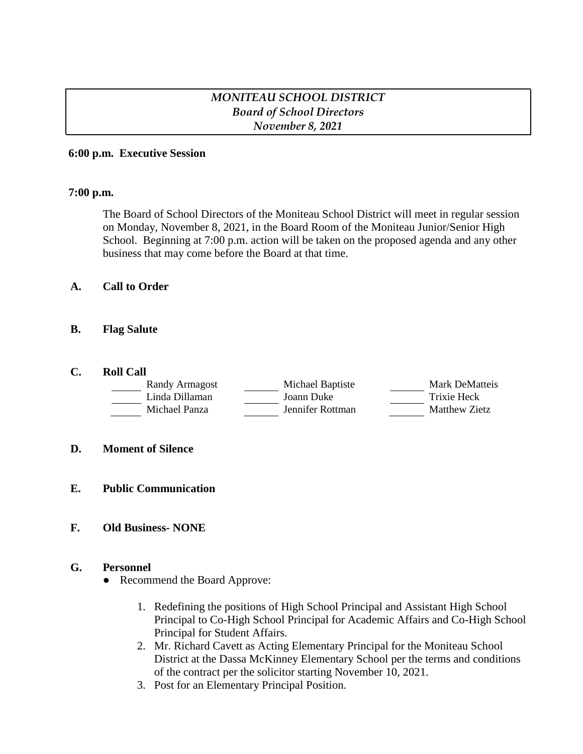# *MONITEAU SCHOOL DISTRICT Board of School Directors November 8, 2021*

## **6:00 p.m. Executive Session**

## **7:00 p.m.**

The Board of School Directors of the Moniteau School District will meet in regular session on Monday, November 8, 2021, in the Board Room of the Moniteau Junior/Senior High School. Beginning at 7:00 p.m. action will be taken on the proposed agenda and any other business that may come before the Board at that time.

## **A. Call to Order**

## **B. Flag Salute**

## **C. Roll Call**

| Randy Armagost | Michael Baptiste | Mark DeMatteis |
|----------------|------------------|----------------|
| Linda Dillaman | Joann Duke       | Trixie Heck    |
| Michael Panza  | Jennifer Rottman | Matthew Zietz  |

#### **D. Moment of Silence**

**E. Public Communication**

## **F. Old Business- NONE**

#### **G. Personnel**

- Recommend the Board Approve:
	- 1. Redefining the positions of High School Principal and Assistant High School Principal to Co-High School Principal for Academic Affairs and Co-High School Principal for Student Affairs.
	- 2. Mr. Richard Cavett as Acting Elementary Principal for the Moniteau School District at the Dassa McKinney Elementary School per the terms and conditions of the contract per the solicitor starting November 10, 2021.
	- 3. Post for an Elementary Principal Position.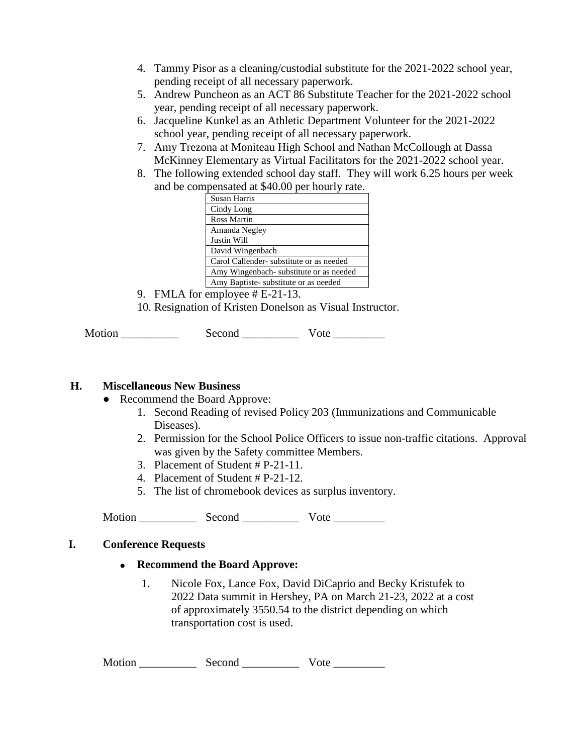- 4. Tammy Pisor as a cleaning/custodial substitute for the 2021-2022 school year, pending receipt of all necessary paperwork.
- 5. Andrew Puncheon as an ACT 86 Substitute Teacher for the 2021-2022 school year, pending receipt of all necessary paperwork.
- 6. Jacqueline Kunkel as an Athletic Department Volunteer for the 2021-2022 school year, pending receipt of all necessary paperwork.
- 7. Amy Trezona at Moniteau High School and Nathan McCollough at Dassa McKinney Elementary as Virtual Facilitators for the 2021-2022 school year.
- 8. The following extended school day staff. They will work 6.25 hours per week and be compensated at \$40.00 per hourly rate.

| Susan Harris                            |
|-----------------------------------------|
| Cindy Long                              |
| Ross Martin                             |
| Amanda Negley                           |
| Justin Will                             |
| David Wingenbach                        |
| Carol Callender-substitute or as needed |
| Amy Wingenbach substitute or as needed  |
| Amy Baptiste-substitute or as needed    |

- 9. FMLA for employee # E-21-13.
- 10. Resignation of Kristen Donelson as Visual Instructor.

| Motion | Second | ote |
|--------|--------|-----|
|--------|--------|-----|

## **H. Miscellaneous New Business**

- Recommend the Board Approve:
	- 1. Second Reading of revised Policy 203 (Immunizations and Communicable Diseases).
	- 2. Permission for the School Police Officers to issue non-traffic citations. Approval was given by the Safety committee Members.
	- 3. Placement of Student # P-21-11.
	- 4. Placement of Student # P-21-12.
	- 5. The list of chromebook devices as surplus inventory.

Motion \_\_\_\_\_\_\_\_\_\_ Second \_\_\_\_\_\_\_\_\_\_ Vote \_\_\_\_\_\_\_\_\_

## **I. Conference Requests**

## **Recommend the Board Approve:**

1. Nicole Fox, Lance Fox, David DiCaprio and Becky Kristufek to 2022 Data summit in Hershey, PA on March 21-23, 2022 at a cost of approximately 3550.54 to the district depending on which transportation cost is used.

Motion \_\_\_\_\_\_\_\_\_\_ Second \_\_\_\_\_\_\_\_\_\_ Vote \_\_\_\_\_\_\_\_\_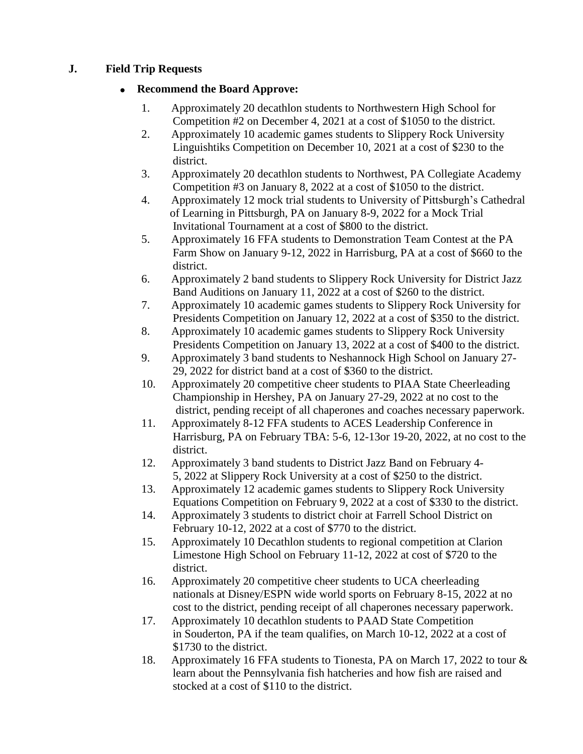# **J. Field Trip Requests**

# **Recommend the Board Approve:**

- 1. Approximately 20 decathlon students to Northwestern High School for Competition #2 on December 4, 2021 at a cost of \$1050 to the district.
- 2. Approximately 10 academic games students to Slippery Rock University Linguishtiks Competition on December 10, 2021 at a cost of \$230 to the district.
- 3. Approximately 20 decathlon students to Northwest, PA Collegiate Academy Competition #3 on January 8, 2022 at a cost of \$1050 to the district.
- 4. Approximately 12 mock trial students to University of Pittsburgh's Cathedral of Learning in Pittsburgh, PA on January 8-9, 2022 for a Mock Trial Invitational Tournament at a cost of \$800 to the district.
- 5. Approximately 16 FFA students to Demonstration Team Contest at the PA Farm Show on January 9-12, 2022 in Harrisburg, PA at a cost of \$660 to the district.
- 6. Approximately 2 band students to Slippery Rock University for District Jazz Band Auditions on January 11, 2022 at a cost of \$260 to the district.
- 7. Approximately 10 academic games students to Slippery Rock University for Presidents Competition on January 12, 2022 at a cost of \$350 to the district.
- 8. Approximately 10 academic games students to Slippery Rock University Presidents Competition on January 13, 2022 at a cost of \$400 to the district.
- 9. Approximately 3 band students to Neshannock High School on January 27- 29, 2022 for district band at a cost of \$360 to the district.
- 10. Approximately 20 competitive cheer students to PIAA State Cheerleading Championship in Hershey, PA on January 27-29, 2022 at no cost to the district, pending receipt of all chaperones and coaches necessary paperwork.
- 11. Approximately 8-12 FFA students to ACES Leadership Conference in Harrisburg, PA on February TBA: 5-6, 12-13or 19-20, 2022, at no cost to the district.
- 12. Approximately 3 band students to District Jazz Band on February 4- 5, 2022 at Slippery Rock University at a cost of \$250 to the district.
- 13. Approximately 12 academic games students to Slippery Rock University Equations Competition on February 9, 2022 at a cost of \$330 to the district.
- 14. Approximately 3 students to district choir at Farrell School District on February 10-12, 2022 at a cost of \$770 to the district.
- 15. Approximately 10 Decathlon students to regional competition at Clarion Limestone High School on February 11-12, 2022 at cost of \$720 to the district.
- 16. Approximately 20 competitive cheer students to UCA cheerleading nationals at Disney/ESPN wide world sports on February 8-15, 2022 at no cost to the district, pending receipt of all chaperones necessary paperwork.
- 17. Approximately 10 decathlon students to PAAD State Competition in Souderton, PA if the team qualifies, on March 10-12, 2022 at a cost of \$1730 to the district.
- 18. Approximately 16 FFA students to Tionesta, PA on March 17, 2022 to tour & learn about the Pennsylvania fish hatcheries and how fish are raised and stocked at a cost of \$110 to the district.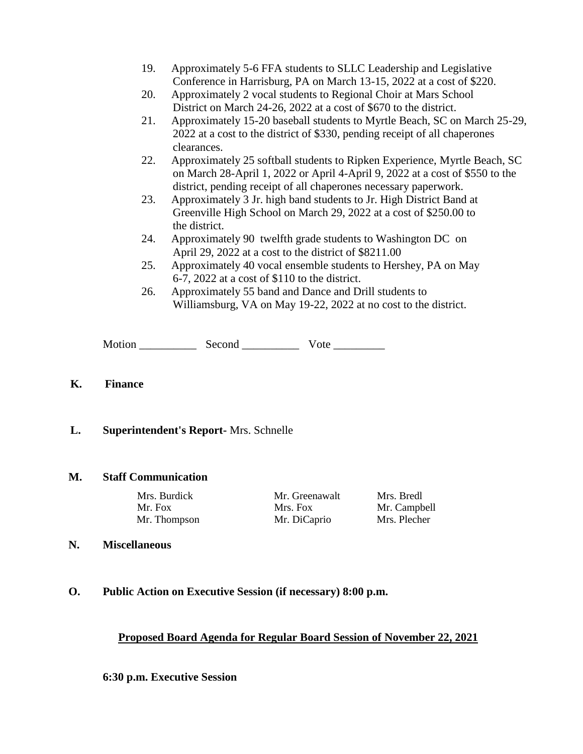- 19. Approximately 5-6 FFA students to SLLC Leadership and Legislative Conference in Harrisburg, PA on March 13-15, 2022 at a cost of \$220.
- 20. Approximately 2 vocal students to Regional Choir at Mars School District on March 24-26, 2022 at a cost of \$670 to the district.
- 21. Approximately 15-20 baseball students to Myrtle Beach, SC on March 25-29, 2022 at a cost to the district of \$330, pending receipt of all chaperones clearances.
- 22. Approximately 25 softball students to Ripken Experience, Myrtle Beach, SC on March 28-April 1, 2022 or April 4-April 9, 2022 at a cost of \$550 to the district, pending receipt of all chaperones necessary paperwork.
- 23. Approximately 3 Jr. high band students to Jr. High District Band at Greenville High School on March 29, 2022 at a cost of \$250.00 to the district.
- 24. Approximately 90 twelfth grade students to Washington DC on April 29, 2022 at a cost to the district of \$8211.00
- 25. Approximately 40 vocal ensemble students to Hershey, PA on May 6-7, 2022 at a cost of \$110 to the district.
- 26. Approximately 55 band and Dance and Drill students to Williamsburg, VA on May 19-22, 2022 at no cost to the district.

Motion \_\_\_\_\_\_\_\_\_\_ Second \_\_\_\_\_\_\_\_\_\_ Vote \_\_\_\_\_\_\_\_\_

## **K. Finance**

## **L. Superintendent's Report-** Mrs. Schnelle

## **M. Staff Communication**

| Mrs. Burdick | Mr. Greenawalt | Mrs. Bredl   |
|--------------|----------------|--------------|
| Mr. Fox      | Mrs. Fox       | Mr. Campbell |
| Mr. Thompson | Mr. DiCaprio   | Mrs. Plecher |

## **N. Miscellaneous**

**O. Public Action on Executive Session (if necessary) 8:00 p.m.**

## **Proposed Board Agenda for Regular Board Session of November 22, 2021**

**6:30 p.m. Executive Session**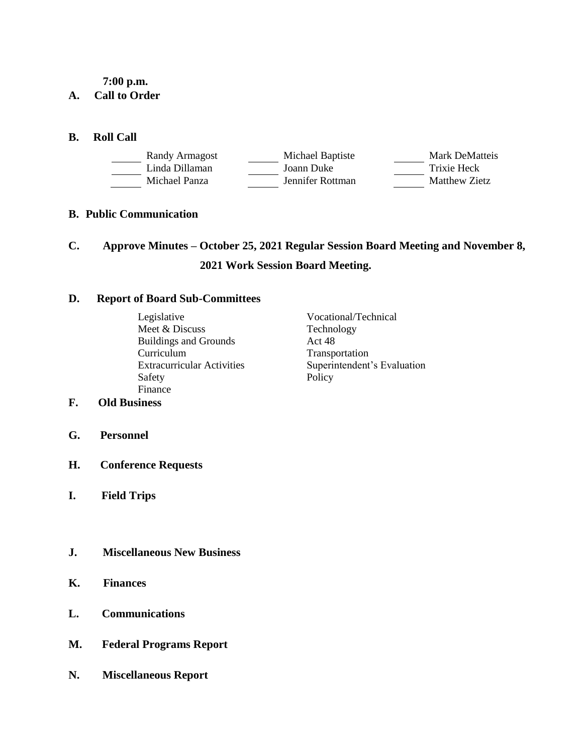**7:00 p.m.**

## **A. Call to Order**

## **B. Roll Call**

| Randy Armagost | Michael Baptiste | Mark DeMatteis |
|----------------|------------------|----------------|
| Linda Dillaman | Joann Duke       | Trixie Heck    |
| Michael Panza  | Jennifer Rottman | Matthew Zietz  |

## **B. Public Communication**

# **C. Approve Minutes – October 25, 2021 Regular Session Board Meeting and November 8, 2021 Work Session Board Meeting.**

## **D. Report of Board Sub-Committees**

Legislative Vocational/Technical Meet & Discuss Technology<br>Buildings and Grounds Act 48 Buildings and Grounds Curriculum Transportation Safety Policy Finance

Extracurricular Activities Superintendent's Evaluation

# **F. Old Business**

- **G. Personnel**
- **H. Conference Requests**
- **I. Field Trips**
- **J. Miscellaneous New Business**
- **K. Finances**
- **L. Communications**
- **M. Federal Programs Report**
- **N. Miscellaneous Report**